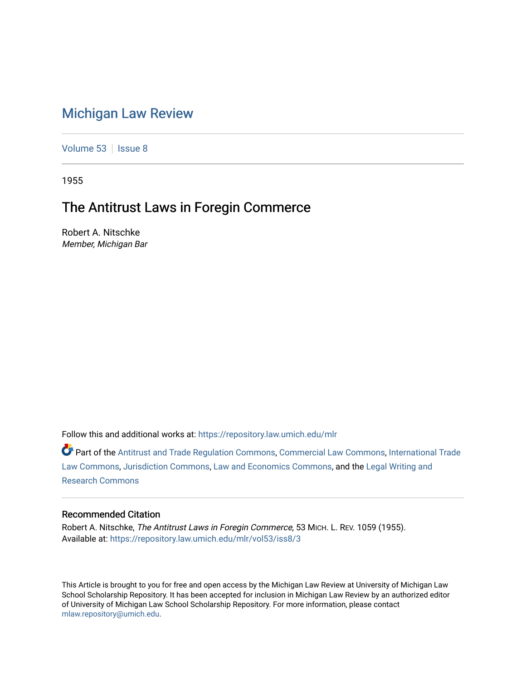# [Michigan Law Review](https://repository.law.umich.edu/mlr)

[Volume 53](https://repository.law.umich.edu/mlr/vol53) | [Issue 8](https://repository.law.umich.edu/mlr/vol53/iss8)

1955

# The Antitrust Laws in Foregin Commerce

Robert A. Nitschke Member, Michigan Bar

Follow this and additional works at: [https://repository.law.umich.edu/mlr](https://repository.law.umich.edu/mlr?utm_source=repository.law.umich.edu%2Fmlr%2Fvol53%2Fiss8%2F3&utm_medium=PDF&utm_campaign=PDFCoverPages) 

Part of the [Antitrust and Trade Regulation Commons,](http://network.bepress.com/hgg/discipline/911?utm_source=repository.law.umich.edu%2Fmlr%2Fvol53%2Fiss8%2F3&utm_medium=PDF&utm_campaign=PDFCoverPages) [Commercial Law Commons](http://network.bepress.com/hgg/discipline/586?utm_source=repository.law.umich.edu%2Fmlr%2Fvol53%2Fiss8%2F3&utm_medium=PDF&utm_campaign=PDFCoverPages), [International Trade](http://network.bepress.com/hgg/discipline/848?utm_source=repository.law.umich.edu%2Fmlr%2Fvol53%2Fiss8%2F3&utm_medium=PDF&utm_campaign=PDFCoverPages) [Law Commons,](http://network.bepress.com/hgg/discipline/848?utm_source=repository.law.umich.edu%2Fmlr%2Fvol53%2Fiss8%2F3&utm_medium=PDF&utm_campaign=PDFCoverPages) [Jurisdiction Commons](http://network.bepress.com/hgg/discipline/850?utm_source=repository.law.umich.edu%2Fmlr%2Fvol53%2Fiss8%2F3&utm_medium=PDF&utm_campaign=PDFCoverPages), [Law and Economics Commons](http://network.bepress.com/hgg/discipline/612?utm_source=repository.law.umich.edu%2Fmlr%2Fvol53%2Fiss8%2F3&utm_medium=PDF&utm_campaign=PDFCoverPages), and the [Legal Writing and](http://network.bepress.com/hgg/discipline/614?utm_source=repository.law.umich.edu%2Fmlr%2Fvol53%2Fiss8%2F3&utm_medium=PDF&utm_campaign=PDFCoverPages)  [Research Commons](http://network.bepress.com/hgg/discipline/614?utm_source=repository.law.umich.edu%2Fmlr%2Fvol53%2Fiss8%2F3&utm_medium=PDF&utm_campaign=PDFCoverPages) 

#### Recommended Citation

Robert A. Nitschke, The Antitrust Laws in Foregin Commerce, 53 MICH. L. REV. 1059 (1955). Available at: [https://repository.law.umich.edu/mlr/vol53/iss8/3](https://repository.law.umich.edu/mlr/vol53/iss8/3?utm_source=repository.law.umich.edu%2Fmlr%2Fvol53%2Fiss8%2F3&utm_medium=PDF&utm_campaign=PDFCoverPages)

This Article is brought to you for free and open access by the Michigan Law Review at University of Michigan Law School Scholarship Repository. It has been accepted for inclusion in Michigan Law Review by an authorized editor of University of Michigan Law School Scholarship Repository. For more information, please contact [mlaw.repository@umich.edu.](mailto:mlaw.repository@umich.edu)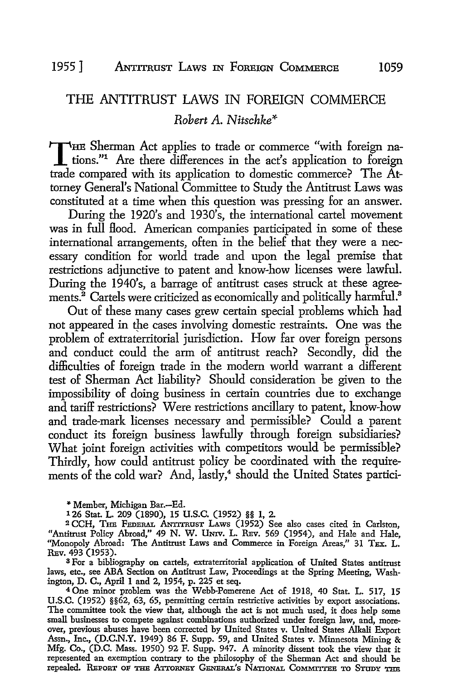# THE ANTITRUST LAWS IN FOREIGN COMMERCE *Robert A. Nitschke\**

THE Sherman Act applies to trade or commerce "with foreign nations."<sup>1</sup> Are there differences in the act's application to foreign trade compared with its application to domestic commerce? The Attorney General's National Committee to Study the Antitrust Laws was constituted at a time when this question was pressing for an answer.

During the 1920's and 1930's, the international cartel movement was in full Hood. American companies participated in some of these international arrangements, often in the belief that they were a necessary condition for world trade and upon the legal premise that restrictions adjunctive to patent and know-how licenses were lawful. During the 1940's, a barrage of antitrust cases struck at these agreements.<sup>2</sup> Cartels were criticized as economically and politically harmful.<sup>8</sup>

Out of these many cases grew certain special problems which had not appeared in the cases involving domestic restraints. One was the problem of extraterritorial jurisdiction. How far over foreign persons and conduct could the arm of antitrust reach? Secondly, did the difficulties of foreign trade in the modern world warrant a different test of Sherman Act liability? Should consideration be given to the impossibility of doing business in certain countries due to exchange and tariff restrictions? Were restrictions ancillary to patent, know-how and trade-mark licenses necessary and permissible? Could a parent conduct its foreign business lawfully through foreign subsidiaries? What joint foreign activities with competitors would be permissible? Thirdly, how could antitrust policy be coordinated with the requirements of the cold war? And, lastly,<sup>4</sup> should the United States partici-

<sup>~</sup>Member, Michigan Bar.-Ed.

126 Stat. L. 209 (1890), 15 U.S.C. (1952) §§ 1, 2.

<sup>2</sup> CCH, THE FEDERAL ANTITRUST LAWS (1952) See also cases cited in Carlston, "Antitrust Policy Abroad," 49 N. W. UNIV. L. REV. 569 (1954), and Hale and Hale, "Monopoly Abroad: The Antitrust Laws and Commerce in Foreign Areas," 31 TEX. L. REv. 493 (1953).

8 For a bibliography on cartels, extraterritorial application of United States antitrust laws, etc., see ABA Section on Antitrust Law, Proceedings at the Spring Meeting, Washington, D. C., April 1 and 2, 1954, p. 225 et seq.

<sup>4</sup> One minor problem was the Webb-Pomerene Act of 1918, 40 Stat. L. 517, 15 U.S.C. (1952) §§62, 63, 65, permitting certain restrictive activities by export associations. The committee took the view that, although the act is not much used, it does help some small businesses to compete against combinations authorized under foreign law, and, moreover, previous abuses have been corrected by United States v. United States Alkali Export Assn., Inc., (D.C.N.Y. 1949) 86 F. Supp. 59, and United States v. Minnesota Mining & Mfg. Co., (D.C. Mass. 1950) 92 F. Supp. 947. A minority dissent took the view that it represented an exemption contrary to the philosophy of the Sherman Act and should be repealed. REPORT OF THE ATTORNEY GENERAL'S NATIONAL CoMMITTEE TO STUDY THE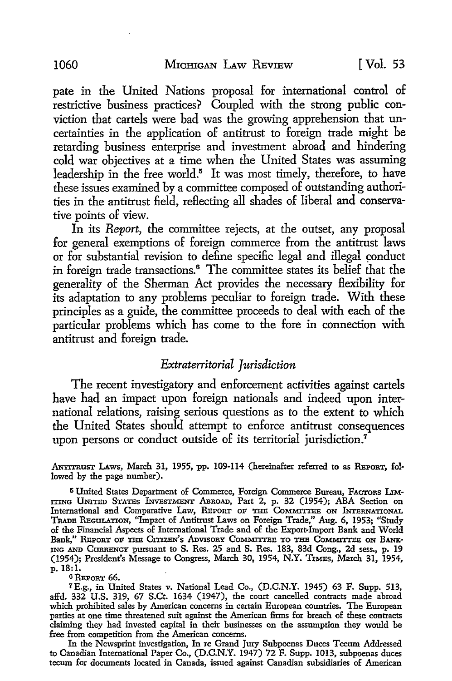pate in the United Nations proposal for international control of restrictive business practices? Coupled with the strong public conviction that cartels were bad was the growing apprehension that uncertainties in the application of antitrust to foreign trade might be retarding business enterprise and investment abroad and hindering cold war objectives at a time when the United States was assuming leadership in the free world.<sup>5</sup> It was most timely, therefore, to have these issues examined by a committee composed of outstanding authorities in the antitrust field, reflecting all shades of liberal and conservative points of view.

In its *Report,* the committee rejects, at the outset, any proposal for general exemptions of foreign commerce from the antitrust laws or for substantial revision to define specific legal and illegal conduct in foreign trade transactions. 6 The committee states its belief that the generality of the Sherman Act provides the necessary Hexibility for its adaptation to any problems peculiar to foreign trade. With these principles as a guide, the committee proceeds to deal with each of the particular problems which has come to the fore in connection with antitrust and foreign trade.

#### *Extraterritorial Jurisdiction*

The recent investigatory and enforcement activities against cartels have had an impact upon foreign nationals and indeed upon international relations, raising serious questions as to the extent to which the United States should attempt to enforce antitrust consequences upon persons or conduct outside of its territorial jurisdiction.<sup>7</sup>

ANTITRUST LAWS, March 31, 1955, pp. 109-114 (hereinafter referred to as REPORT, followed by the page number).

<sup>5</sup> United States Department of Commerce, Foreign Commerce Bureau, FACTORS LIM-ITING UNITED STATES INVESTMENT ABROAD, Part 2, p. 32 (1954); ABA Section on International and Comparative Law, REPORT OF THE COMMITTEE ON INTERNATIONAL TRADE REGULATION, "Impact of Antitrust Laws on Foreign Trade," Aug. 6, 1953; "Study of the Financial Aspects of International Trade and of the Export-Import Bank and World Bank," REPORT OF THE CITIZEN'S ADVISORY COMMITTEE TO THE COMMITTEE ON BANK-ING AND CURRENCY pursuant to S. Res. 25 and S. Res. 183, 83d Cong., 2d sess., p. 19 (1954); President's Message to Congress, March 30, 1954, N.Y. T1MEs, March 31, 1954, p. 18:1.

 $6$ Report 66.

*<sup>1</sup>*E.g., in United States v. National Lead Co., (D.C.N.Y. 1945) 63 F. Supp. 513, affd. 332 U.S. 319, 67 S.Ct. 1634 (1947), the court cancelled contracts made abroad which prohibited sales by American concerns in certain European countries. The European parties at one time threatened suit against the American firms for breach of these contracts claiming they had invested capital in their businesses on the assumption they would be free from competition from the American concerns.

In the Newsprint investigation, In re Grand Jury Subpoenas Duces Tecum Addressed to Canadian International Paper Co., (D.C.N.Y. 1947) 72 F. Supp. 1013, subpoenas duces tecum for documents located in Canada, issued against Canadian subsidiaries of American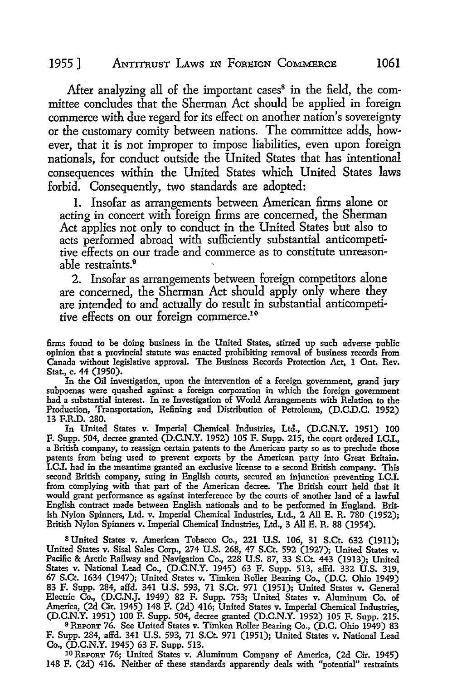#### 1955] ANTITRUST LAws IN FoREIGN COMMERCE 1061

After analyzing all of the important cases<sup>8</sup> in the field, the committee concludes that the Sherman Act should be applied in foreign commerce with due regard for its effect on another nation's sovereignty or the customary comity between nations. The committee adds, however, that it is not improper to impose liabilities, even upon foreign nationals, for conduct outside the United States that has intentional consequences within the United States which United States laws forbid. Consequently, two standards are adopted:

1. Insofar as arrangements between American firms alone or acting in concert with foreign firms are concerned, the Sherman Act applies not only to conduct in the United States but also to acts performed abroad with sufficiently substantial anticompetitive effects on our trade and commerce as to constitute unreasonable restraints.<sup>9</sup>

2. Insofar as arrangements between foreign competitors alone are concerned, the Sherman Act should apply only where they are intended to and actually do result in substantial anticompetitive effects on our foreign commerce.10

firms found to be doing business in the United States, stirred up such adverse public opinion that a provincial statute was enacted prohibiting removal of business records from Canada without legislative approval. The Business Records Protection Act, 1 Ont. Rev. Stat., c. 44 (1950).

In the Oil investigation, upon the intervention of a foreign government, grand jury subpoenas were quashed against a foreign corporation in which the foreign government had a substantial interest. In re Investigation of World Arrangements with Relation to the Production, Transportation, Refining and Distribution of Petroleum, (D.C.D.C. 1952) 13 F.R.D. 280.

In United States v. Imperial Chemical Industries, Ltd., (D.C.N.Y. 1951) 100 F. Supp. 504, decree granted **(D.C.N.Y.** 1952) 105 F. Supp. 215, the court ordered **I.C.I.,** a British company, to reassign certain patents to the American party so as to preclude those patents from being used to prevent exports by the American party into Great Britain. **I.C.I.** had in the meantime granted an exclusive license to a second British company. This second British company, suing in English courts, secured an injunction preventing I.C.I. from complying with that part of the American decree. The British court held that it would grant performance as against interference by the courts of another land of a lawful English contract made between English nationals and to be performed in England. British Nylon Spinners, Ltd. v. Imperial Chemical Industries, Ltd., 2 All E. R. 780 (1952); British Nylon Spinners v. Imperial Chemical Industries, Ltd., 3 All E. R. 88 (1954).

<sup>8</sup>United States v. American Tobacco Co., 221 U.S. 106, 31 S.Ct. 632 (19II); United States v. Sisal Sales Corp., 274 U.S. 268, 47 S.Ct. 592 (1927); United States v. Pacific & Arctic Railway and Navigation Co., 228 U.S. 87, 33 S.Ct. 443 (1913); United States v. National Lead Co., (D.C.N.Y. 1945) 63 F. Supp. 513, affd. 332 U.S. 319, 67 S.Ct. 1634 (1947); United States v. Timken Roller Bearing Co., (D.C. Ohio 1949) 83 F. Supp. 284, affd. 341 U.S. 593, 71 S.Ct. 971 (1951); United States v. General Electric Co., (D.C.N.J. 1949) 82 F. Supp. 753; United States v. Aluminum Co. of America, (2d Cir. 1945) 148 F. (2d) 416; United States v. Imperial Chemical Industries, (D.C.N.Y. 1951) 100 F. Supp. 504, decree granted (D.C.N.Y. 1952) 105 F. Supp. 215. <sup>9</sup> REPORT 76. See United States v. Timken Roller Bearing Co., (D.C. Ohio 1949) 83 F. Supp. 284, affd. 341 U.S. 593, 71 S.Ct. 971 (1951); United States v. National Lead Co., (D.C.N.Y. 1945) 63 F. Supp. 513.

10 REPORT 76; United States v. Aluminum Company of America, (2d Cir. 1945) 148 F. (2d) 416. Neither of these standards apparently deals with "potential" restraints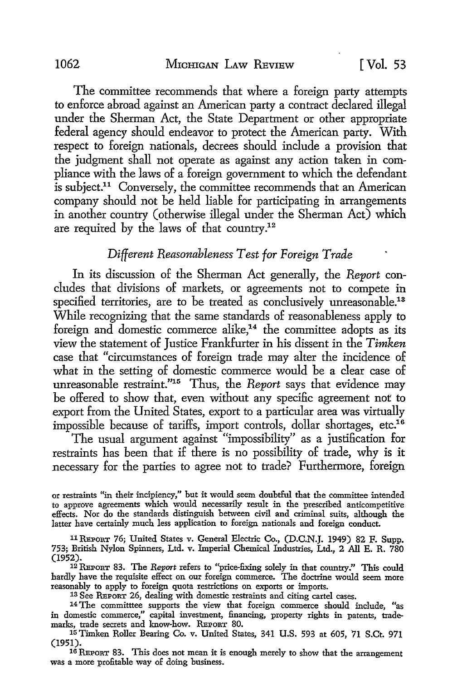The committee recommends that where a foreign party attempts to enforce abroad against an American party a contract declared illegal under the Sherman Act, the State Department or other appropriate federal agency should endeavor to protect the American party. With respect to foreign nationals, decrees should include a provision that the judgment shall not operate as against any action taken in compliance with the laws of a foreign government to which the defendant is subject.<sup>11</sup> Conversely, the committee recommends that an American company should not be held liable for participating in arrangements in another country (otherwise illegal under the Sherman Act) which are required by the laws of that country.12

### *Different Reasonableness Test for Foreign Trade*

In its discussion of the Sherman Act generally, the *Report* concludes that divisions of markets, or agreements not to compete in specified territories, are to be treated as conclusively unreasonable.<sup>13</sup> While recognizing that the same standards of reasonableness apply to foreign and domestic commerce alike,<sup>14</sup> the committee adopts as its view the statement of Justice Frankfurter in his dissent in the *Timken*  case that "circumstances of foreign trade may alter the incidence of what in the setting of domestic commerce would be a clear case of unreasonable restraint."15 Thus, the *Report* says that evidence may be offered to show that, even without any specific agreement not to export from the United States, export to a particular area was virtually impossible because of tariffs, import controls, dollar shortages, etc.<sup>16</sup>

The usual argument against "impossibility" as a justification for restraints has been that if there is no possibility of trade, why is it necessary for the parties to agree not to trade? Furthermore, foreign

or restraints "in their incipiency," but it would seem doubtful that the committee intended to approve agreements which would necessarily result in the prescribed anticompetitive effects. Nor do the standards distinguish between civil and criminal suits, although the latter have certainly much less application to foreign nationals and foreign conduct.

<sup>11</sup>REPORT 76; United States v. General Electric Co., (D.C.N.J. 1949) 82 F. Supp. 753; British Nylon Spinners, Ltd. v. Imperial Chemical Industries, Ltd., 2 All E. R. 780 (1952).

12 REPORT 83. The *Report* refers to "price-fixing solely in that country." This could hardly have the requisite effect on our foreign commerce. The doctrine would seem more reasonably to apply to foreign quota restrictions on exports or imports.

13 See REPORT 26, dealing with domestic restraints and citing cartel cases.

<sup>14</sup>The committtee supports the view that foreign commerce should include, "as in domestic commerce," capital investment, financing, property rights in patents, trademarks, trade secrets and know-how. REPORT 80.

15Timken Roller Bearing Co. v. United States, 341 U.S. 593 at 605, 71 S.Ct. 971 (1951).

16 REPORT 83. This does not mean it is enough merely to show that the arrangement was a more profitable way of doing business.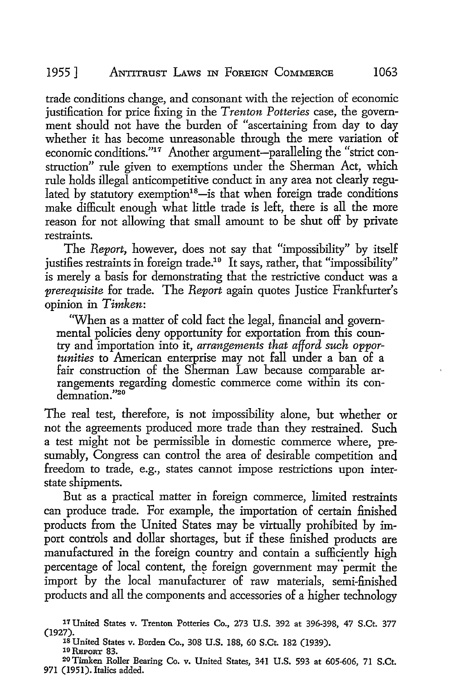trade conditions change, and consonant with the rejection of economic justification for price fixing in the *Trenton Potteries* case, the government should not have the burden of "ascertaining from day to day whether it has become unreasonable through the mere variation of economic conditions."17 Another argument-paralleling the "strict construction" rule given to exemptions under the Sherman Act, which rule holds illegal anticompetitive conduct in any area not clearly regulated by statutory exemption<sup>18</sup>-is that when foreign trade conditions make difficult enough what little trade is left, there is all the more reason for not allowing that small amount to be shut off by private restraints.

The *Report,* however, does not say that "impossibility" by itself justifies restraints in foreign trade.<sup>19</sup> It says, rather, that "impossibility" is merely a basis for demonstrating that the restrictive conduct was a *prerequisite* for trade. The *Report* again quotes Justice Frankfurter's opinion in *Timken:* 

'When as a matter of cold fact the legal, financial and governmental policies deny opportunity for exportation from this country and importation into it, *arrangements that afford such opportunities* to American enterprise may not fall under a ban of a fair construction of the Sherman Law because comparable arrangements regarding domestic commerce come within its condemnation."20

The real test, therefore, is not impossibility alone, but whether or not the agreements produced more trade than they restrained. Such a test might not be permissible in domestic commerce where, presumably, Congress can control the area of desirable competition and freedom to trade, e.g., states cannot impose restrictions upon interstate shipments.

But as a practical matter in foreign commerce, limited restraints can produce trade. For example, the importation of certain finished products from the United States may be virtually prohibited by import controls and dollar shortages, but if these finished products are manufactured in the foreign country and contain a sufficiently high percentage of local content, the foreign government may permit the import by the local manufacturer of raw materials, semi-finished products and all the components and accessories of a higher technology

<sup>17</sup> United States v. Trenton Potteries Co., 273 U.S. 392 at 396-398, 47 S.Ct. 377 (1927).<br><sup>18</sup> United States v. Borden Co., 308 U.S. 188, 60 S.Ct. 182 (1939).

<sup>19</sup> REPORT 83.<br>20 Timken Roller Bearing Co. v. United States, 341 U.S. 593 at 605-606, 71 S.Ct. 971 (1951). Italics added.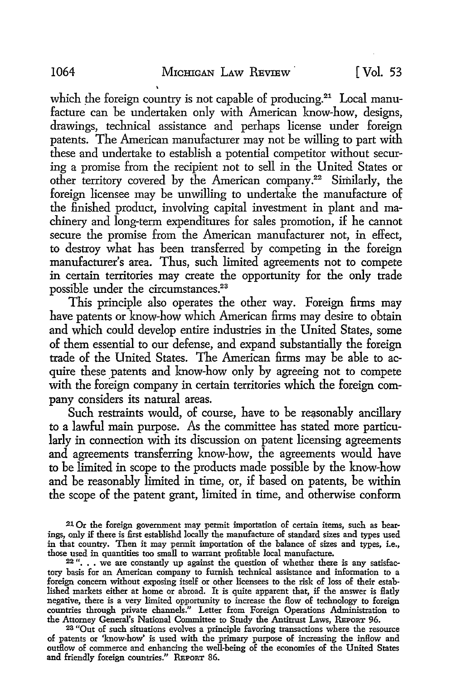which the foreign country is not capable of producing.<sup>21</sup> Local manufacture can be undertaken only with American know-how, designs, drawings, technical assistance and perhaps license under foreign patents. The American manufacturer may not be willing to part with these and undertake to establish a potential competitor without securing a promise from the recipient not to sell in the United States or other territory covered by the American company.22 Similarly, the foreign licensee may be unwilling to undertake the manufacture of the finished product, involving capital investment in plant and machinery and long-term expenditures for sales promotion, if he cannot secure the promise from the American manufacturer not, in effect, to destroy what has been transferred by competing in the foreign manufacturer's area. Thus, such limited agreements not to compete in certain territories may create the opportunity for the only trade possible under the circumstances.<sup>23</sup>

This principle also operates the other way. Foreign firms may have patents or know-how which American firms may desire to obtain and which could develop entire industries in the United States, some of them essential to our defense, and expand substantially the foreign trade of the United States. The American firms may be able to acquire these patents and know-how only by agreeing not to compete with the foreign company in certain territories which the foreign company considers its natural areas.

Such restraints would, of course, have to be reasonably ancillary to a lawful main purpose. As the committee has stated more particularly in connection with its discussion on patent licensing agreements and agreements transferring know-how, the agreements would have to be limited in scope to the products made possible by the know-how and be reasonably limited in time, or, if based on patents, be within the scope of the patent grant, limited in time, and otherwise conform

23 "Out of such situations evolves a principle favoring transactions where the resource of patents or 'know-how' is used with the primary purpose of increasing the inflow and outflow of commerce and enhancing the well-being of the economies of the United States and friendly foreign countries." REPORT 86.

<sup>21</sup> Or the foreign government may permit mportation of certain items, such as bear· ings, only if there is first establishd locally the manufacture of standard sizes and types used in that country. Then it may permit importation of the balance of sizes and types, i.e., those used in quantities too small to warrant profitable local manufacture.

<sup>22 &</sup>quot; ••• we are constantly up against the question of whether there is any satisfactory basis for an American company to furnish technical assistance and information to a foreign concern without exposing itself or other licensees to the risk of loss of their estab-lished markets either at home or abroad. It is quite apparent that, if the answer is flatly negative, there is a very limited opportunity to increase the flow of technology to foreign countries through private channels." Letter from Foreign Operations Administration to the Attorney General's National Committee to Study the Antitrust Laws, REPORT 96.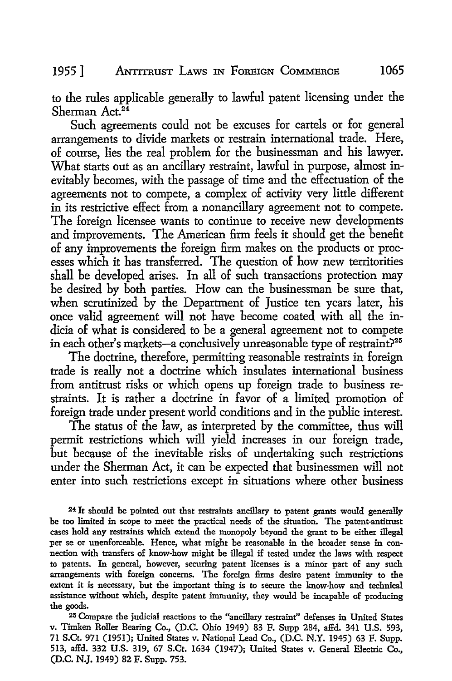### 1955] ANTITRUST LAws IN FoREIGN CoMMERCE 1065

to the rules applicable generally to lawful patent licensing under the Sherman Act.24

Such agreements could not be excuses for cartels or for general arrangements to divide markets or restrain international trade. Here, of course, lies the real problem for the businessman and his lawyer. What starts out as an ancillary restraint, lawful in purpose, almost inevitably becomes, with the passage of time and the effectuation of the agreements not to compete, a complex of activity very little different in its restrictive effect from a nonancillary agreement not to compete. The foreign licensee wants to continue to receive new developments and improvements. The American firm feels it should get the benefit of any improvements the foreign firm makes on the products or processes which it has transferred. The question of how new territorities shall be developed arises. In all of such transactions protection may be desired by both parties. How can the businessman be sure that, when scrutinized by the Department of Justice ten years later, his once valid agreement will not have become coated with all the indicia of what is considered to be a general agreement not to compete in each other's markets-a conclusively unreasonable type of restraint?<sup>25</sup>

The doctrine, therefore, permitting reasonable restraints in foreign trade is really not a doctrine which insulates international business from antitrust risks or which opens up foreign trade to business restraints. It is rather a doctrine in favor of a limited promotion of foreign trade under present world conditions and in the public interest.

The status of the law, as interpreted by the committee, thus will permit restrictions which will yield increases in our foreign trade, but because of the inevitable risks of undertaking such restrictions under the Sherman Act, it can be expected that businessmen will not enter into such restrictions except in situations where other business

<sup>24</sup>It should be pointed out that restraints ancillary to patent grants would generally be too limited in scope to meet the practical needs of the situation. The patent-antitrust cases hold any restraints which extend the monopoly beyond the grant to be either illegal per se or unenforceable. Hence, what might be reasonable in the broader sense in connection with transfers of know-how might be illegal if tested under the laws with respect to patents. In general, however, securing patent licenses is a minor part of any such arrangements with foreign concerns. The foreign firms desire patent immunity to the extent it is necessary, but the important thing is to secure the know-how and technical assistance without which, despite patent immunity, they would be incapable of producing the goods.

25 Compare the judicial reactions to the "ancillary restraint" defenses in United States v. Timken Roller Bearing Co., (D.C. Ohio 1949) 83 F. Supp 284, affd. 341 U.S. 593, 71 S.Ct. 971 (1951); United States v. National Lead Co., (D.C. N.Y. 1945) 63 F. Supp. 513, affd. 332 U.S. 319, 67 S.Ct. 1634 (1947); United States v. General Electric Co., (D.C. N.J. 1949) 82 F. Supp. 753.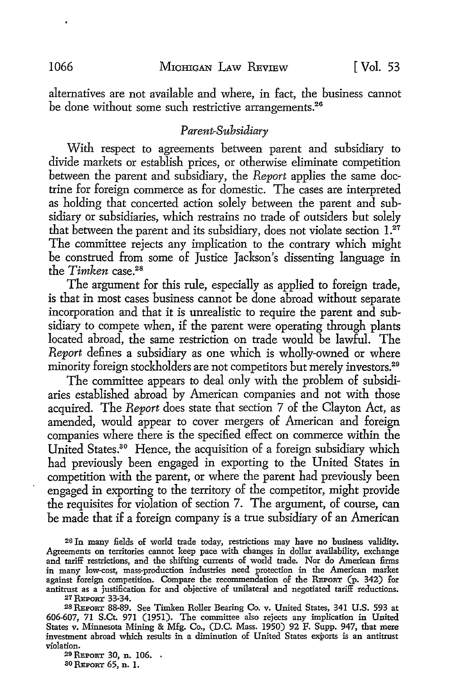alternatives are not available and where, in fact, the business cannot be done without some such restrictive arrangements.<sup>26</sup>

#### *Parent-Subsidiary*

With respect to agreements between parent and subsidiary to divide markets or establish prices, or otherwise eliminate competition between the parent and subsidiary, the *Report* applies the same doctrine for foreign commerce as for domestic. The cases are interpreted as holding that concerted action solely between the parent and subsidiary or subsidiaries, which restrains no trade of outsiders but solely that between the parent and its subsidiary, does not violate section  $1.^{27}$ The committee rejects any implication to the contrary which might be construed from some of Justice Jackson's dissenting language in the *Timken* case.<sup>28</sup>

The argument for this rule, especially as applied to foreign trade, is that in most cases business cannot be done abroad without separate incorporation and that it is unrealistic *to* require the parent and subsidiary *to* compete when, if the parent were operating through plants located abroad, the same restriction on trade would be lawful. The *Report* defines a subsidiary as one which is wholly-owned or where minority foreign stockholders are not competitors but merely investors.<sup>29</sup>

The committee appears *to* deal only with the problem of subsidiaries established abroad by American companies and not with those acquired. The *Report* does state that section 7 of the Clayton Act, as amended, would appear *to* cover mergers of American and foreign companies where there is the specified effect on commerce within the United States.30 Hence, the acquisition of a foreign subsidiary which had previously been engaged in exporting to the United States in competition with the parent, or where the parent had previously been engaged in exporting *to* the territory of the competitor, might provide the requisites for violation of section 7. The argument, of course, can be made that if a foreign company is a true subsidiary of an American

<sup>26</sup>In many fields of world trade today, restrictions may have no business validity. Agreements on territories cannot keep pace with changes in dollar availability, exchange and tariff restrictions, and the shifting currents of world trade. Nor do American firms in many low-cost, mass-production industries need protection in the American market against foreign competition. Compare the recommendation of the REPORT (p. 342) for antitrust as a justification for and objective of unilateral and negotiated tariff reductions.

27 REPORT 33-34.

2SREPORT 88-89. See Timken Roller Bearing Co. v. United States, 341 U.S. 593 at 606-607, 71 S.Ct. 971 (1951). The committee also rejects any implication in United States v. Minnesota Mining & Mfg. Co., (D.C. Mass. 1950) 92 F. Supp. 947, that mere investment abroad which results in a diminution of United States exports is an antitrust violation.

29 REPORT 30, n. 106. so REPORT 65, n. 1.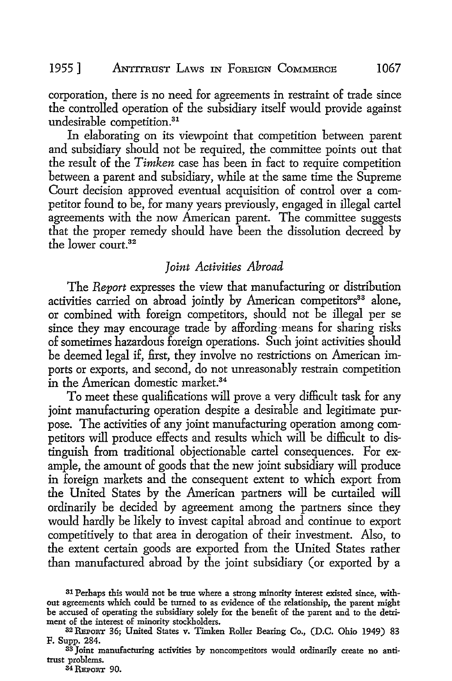corporation, there is no need for agreements in restraint of trade since the controlled operation of the subsidiary itself would provide against undesirable competition. 31

In elaborating on its viewpoint that competition between parent and subsidiary should not be required, the committee points out that the result of the *Timken* case has been in fact to require competition between a parent and subsidiary, while at the same time the Supreme Court decision approved eventual acquisition of control over a competitor found to be, for many years previously, engaged in illegal cartel agreements with the now American parent. The committee suggests that the proper remedy should have been the dissolution decreed by the lower court. 32

#### *Joint Activities Abroad*

The *Report* expresses the view that manufacturing or distribution activities carried on abroad jointly by American competitors<sup>33</sup> alone, or combined with foreign competitors, should not be illegal per se since they may encourage trade by affording-means for sharing risks of sometimes hazardous foreign operations. Such joint activities should be deemed legal if, first, they involve no restrictions on American imports or exports, and second, do not unreasonably restrain competition in the American domestic market. 34

To meet these qualifications will prove a very difficult task for any joint manufacturing operation despite a desirable and legitimate purpose. The activities of any joint manufacturing operation among competitors will produce effects and results which will be difficult to distinguish from traditional objectionable cartel consequences. For example, the amount of goods that the new joint subsidiary will produce in foreign markets and the consequent extent to which export from the United States by the American partners will be curtailed will ordinarily be decided by agreement among the partners since they would hardly be likely to invest capital abroad and continue to export competitively to that area in derogation of their investment. Also, to the extent certain goods are exported from the United States rather than manufactured abroad by the joint subsidiary (or exported by a

34 REPORT 90.

<sup>31</sup> Perhaps this would not be true where a strong minority interest existed since, without agreements which could be turned to as evidence of the relationship, the parent might be accused of operating the subsidiary solely for the benefit of the parent and to the detriment of the interest of minority stockholders.

<sup>32</sup> REPORT 36; United States v. Timken Roller Bearing Co., (D.C. Ohio 1949) 83

<sup>&</sup>lt;sup>33</sup> Joint manufacturing activities by noncompetitors would ordinarily create no antitrust problems.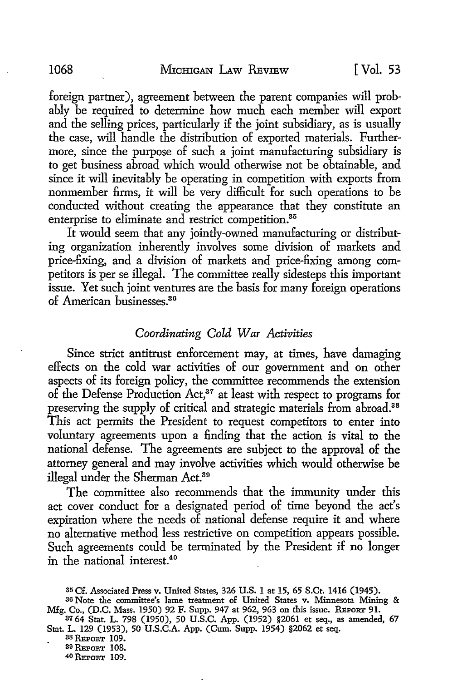foreign partner), agreement between the parent companies will probably be required to determine how much each member will export and the selling prices, particularly if the joint subsidiary, as is usually the case, will handle the distribution of exported materials. Furthermore, since the purpose of such a joint manufacturing subsidiary is to get business abroad which would otherwise not be obtainable, and since it will inevitably be operating in competition with exports from nonmember firms, it will be very difficult for such operations to be conducted without creating the appearance that they constitute an enterprise to eliminate and restrict competition.<sup>35</sup>

It would seem that any jointly-owned manufacturing or distributing organization inherently involves some division of markets and price-fixing, and a division of markets and price-fixing among competitors is per se illegal. The committee really sidesteps this important issue. Yet such joint ventures are the basis for many foreign operations of American businesses.36

#### *Coordinating Cold War Activities*

Since strict antitrust enforcement may, at times, have damaging effects on the cold war activities of our government and on other aspects of its foreign policy, the committee recommends the extension of the Defense Production Act,<sup>37</sup> at least with respect to programs for preserving the supply of critical and strategic materials from abroad.<sup>38</sup> This act permits the President to request competitors to enter into voluntary agreements upon a finding that the action is vital to the national defense. The agreements are subject to the approval of the attorney general and may involve activities which would otherwise be illegal under the Sherman Act.39

The committee also recommends that the immunity under this act cover conduct for a designated period of time beyond the act's expiration where the needs of national defense require it and where no alternative method less restrictive on competition appears possible. Such agreements could be terminated by the President if no longer in the national interest.40

38 REPORT 109.

39 REPORT 108.

40 REPORT 109.

<sup>35</sup> Cf. Associated Press v. United States, 326 U.S. 1 at 15, 65 S.Ct. 1416 (1945).

<sup>36</sup> Note the committee's lame treatment of United States v. Minnesota Mining & Mfg. Co., (D.C. Mass. 1950) 92 F. Supp. 947 at 962, 963 on this issue. REPORT 91.

<sup>37</sup> 64 Stat. L. 798 (1950), 50 U.S.C. App. (1952) §2061 et seq., as amended, 67 Stat. L. 129 (1953), 50 U.S.C.A. App. (Cum. Supp. 1954) §2062 et seq.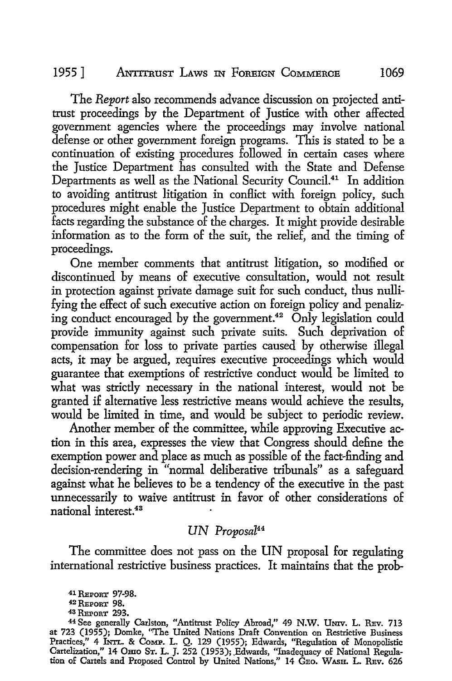### 1955 ] ANTITRUST LAWS IN FOREIGN COMMERCE 1069

The *Report* also recommends advance discussion on projected antitrust proceedings by the Department of Justice with other affected government agencies where the proceedings may involve national defense or other government foreign programs. This is stated to be a continuation of existing procedures followed in certain cases where the Justice Department has consulted with the State and Defense Departments as well as the National Security Council.<sup>41</sup> In addition to avoiding antitrust litigation in conflict with foreign policy, such procedures might enable the Justice Department to obtain additional facts regarding the substance of the charges. It might provide desirable information as to the form of the suit, the relief, and the timing of proceedings.

One member comments that antitrust litigation, so modified or discontinued by means of executive consultation, would not result in protection against private damage suit for such conduct, thus nullifying the effect of such executive action on foreign policy and penalizing conduct encouraged by the government.<sup>42</sup> Only legislation could provide immunity against such private suits. Such deprivation of compensation for loss to private parties caused by otherwise illegal acts, it may be argued, requires executive proceedings which would guarantee that exemptions of restrictive conduct would be limited to what was strictly necessary in the national interest, would not be granted if alternative less restrictive means would achieve the results, would be limited in time, and would be subject to periodic review.

Another member of the committee, while approving Executive action in this area, expresses the view that Congress should define the exemption power and place as much as possible of the fact-finding and decision-rendering in "normal deliberative tribunals" as a safeguard against what he believes to be a tendency of the executive in the past unnecessarily to waive antitrust in favor of other considerations of national interest.<sup>43</sup>

## *UN Proposal*<sup>44</sup>

The committee does not pass on the UN proposal for regulating international restrictive business practices. It maintains that the prob-

<sup>&</sup>lt;sup>41</sup> REPORT 97-98.<br><sup>42</sup> REPORT 98.<br><sup>43</sup> REPORT 293.

<sup>&</sup>lt;sup>43</sup> Reporr 293.<br><sup>44</sup> See generally Carlston, "Antitrust Policy Abroad," 49 N.W. Univ. L. Rev. 713 at 723 (1955); Domke, "The United Nations Draft Convention on Restrictive Business Practices," 4 lNTr.. & CoMP. L. Q. 129 (1955); Edwards, "Regulation of Monopolistic Cartelization," 14 Оню Sт. L. J. 252 (1953); Edwards, "Inadequacy of National Regulation of Cartels and Proposed Control by United Nations," 14 GEO. WASH. L. REV. 626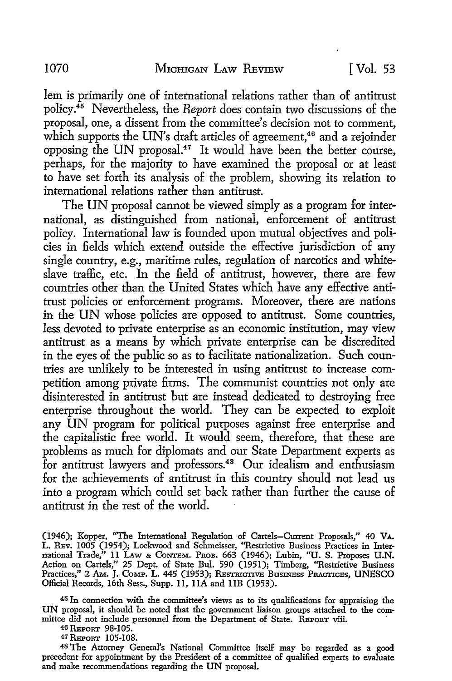lem is primarily one of international relations rather than of antitrust policy.<sup>45</sup> Nevertheless, the *Report* does contain two discussions of the proposal, one, a dissent from the committee's decision not to comment, which supports the UN's draft articles of agreement,<sup>46</sup> and a rejoinder opposing the UN proposal.47 It would have been the better course, perhaps, for the majority to have examined the proposal or at least to have set forth its analysis of the problem, showing its relation to international relations rather than antitrust.

The UN proposal cannot be viewed simply as a program for international, as distinguished from national, enforcement of antitrust policy. International law is founded upon mutual objectives and policies in fields which extend outside the effective jurisdiction of any single country, e.g., maritime rules, regulation of narcotics and whiteslave traffic, etc. In the field of antitrust, however, there are few countries other than the United States which have any effective antitrust policies or enforcement programs. Moreover, there are nations in the UN whose policies are opposed to antitrust. Some countries, less devoted to private enterprise as an economic institution, may view antitrust as a means by which private enterprise can be discredited in the eyes of the public so as to facilitate nationalization. Such countries are unlikely to be interested in using antitrust to increase competition among private firms. The communist countries not only are disinterested in antitrust but are instead dedicated to destroying free enterprise throughout the world. They can be expected to exploit any UN program for political purposes against free enterprise and the capitalistic free world. It would seem, therefore, that these are problems as much for diplomats and our State Department experts as for antitrust lawyers and professors.<sup>48</sup> Our idealism and enthusiasm for the achievements of antitrust in this country should not lead us into a program which could set back rather than further the cause of antitrust in the rest of the world.

(1946); Kopper, "The International Regulation of Cartels-Current Proposals," 40 **VA.**  L. REv. 1005 (1954); Lockwood and Schmeisser, ''Restrictive Business Practices in Inter-<br>national Trade,'' 11 LAw & Contrem. Prob. 663 (1946); Lubin, ''U. S. Proposes U.N. Action on Cartels," 25 Dept. of State Bul. 590 (1951); Timberg, ''Restrictive Business Practices," 2 AM. J. CoMP. L. 445 (1953); REsTRICTIVE BusINEss PRACTICES, UNESCO Official Records, 16th Sess., Supp. 11, IIA and IIB (1953).

45 In connection with the committee's views as to its qualifications for appraising the UN proposal, it should be noted that the government liaison groups attached to the committee did not include personnel from the Department of State. REPORT viii.

46 REPORT 98-105. 47 REPORT 105-108.

<sup>48</sup>The Attorney General's National Committee itself may be regarded as a good precedent for appointment by the President of a committee of qualified experts to evaluate and make recommendations regarding the UN proposal.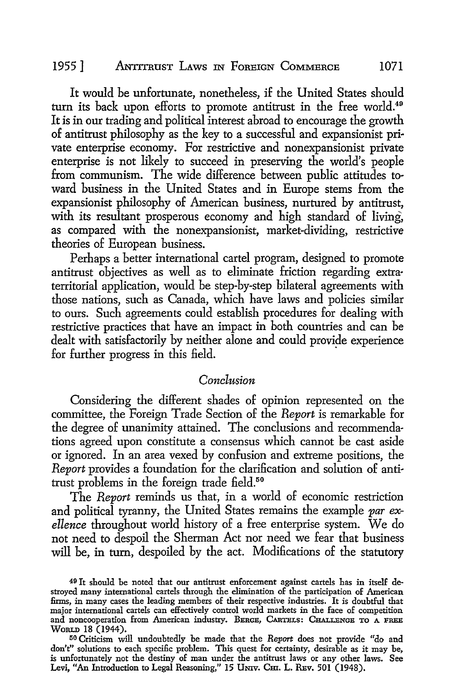#### 1955 1 ANTITRUST LAWS IN FOREIGN COMMERCE 1071

It would be unfortunate, nonetheless, if the United States should turn its back upon efforts to promote antitrust in the free world.<sup>49</sup> It is in our trading and political interest abroad to encourage the growth of antitrust philosophy as the key to a successful and expansionist pri· vate enterprise economy. For restrictive and nonexpansionist private enterprise is not likely to succeed in preserving the world's people from communism. The wide difference between public attitudes toward business in the United States and in Europe stems from the expansionist philosophy of American business, nurtured by antitrust, with its resultant prosperous economy and high standard of living, as compared with the nonexpansionist, market-dividing, restrictive theories of European business.

Perhaps a better international cartel program, designed to promote antitrust objectives as well as *to* eliminate friction regarding extra· territorial application, would be step-by-step bilateral agreements with those nations, such as Canada, which have laws and policies similar to ours. Such agreements could establish procedures for dealing with restrictive practices that have an impact in both countries and can be dealt with satisfactorily by neither alone and could provide experience for further progress in this field.

#### *Conclusion*

Considering the different shades of opinion represented on the committee, the Foreign Trade Section of the *Report* is remarkable for the degree of unanimity attained. The conclusions and recommendations agreed upon constitute a consensus which cannot be cast aside or ignored. In an area vexed by confusion and extreme positions, the *Report* provides a foundation for the clarification and solution of antitrust problems in the foreign trade field.<sup>50</sup>

The *Report* reminds us that, in a world of economic restriction and political tyranny, the United States remains the example *par exellence* throughout world history of a free enterprise system. We do not need *to* despoil the Sherman Act nor need we fear that business will be, in turn, despoiled by the act. Modifications of the statutory

<sup>49</sup> It should be noted that our antitrust enforcement against cartels has in itself destroyed many international cartels through the elimination of the participation of American firms, in many cases the leading members of their respective industries. It is doubtful that major international cartels can effectively control world markets in the face of competition and noncooperation from American industry. BERGE, CARTELS: CHALLENGE To A FREE WoRLD 18 (1944).

<sup>50</sup> Criticism will undoubtedly be made that the *Report* does not provide "do and don't" solutions to each specific problem. This quest for certainty, desirable as it may be, is unfortunately not the destiny of man under the antitrust laws or any other laws. See Levi, "An Introduction to Legal Reasoning," 15 UNIV. CHI. L. REV. 501 (1948).